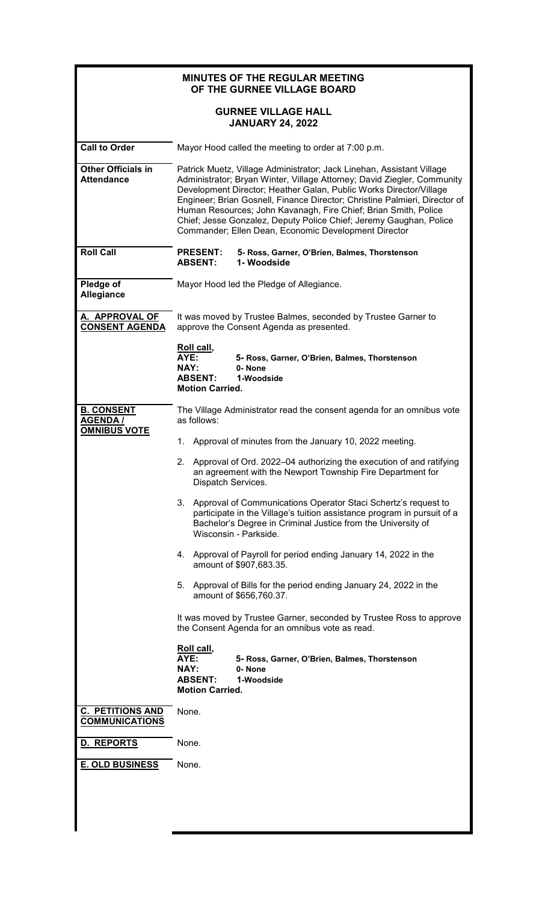| <b>MINUTES OF THE REGULAR MEETING</b><br>OF THE GURNEE VILLAGE BOARD |                                                                                                                                                                                                                                                                                                                                                                                                                                                                                                                                                                                                                                                                                                                                                                                                                                                                                                                                                                                         |  |  |  |  |
|----------------------------------------------------------------------|-----------------------------------------------------------------------------------------------------------------------------------------------------------------------------------------------------------------------------------------------------------------------------------------------------------------------------------------------------------------------------------------------------------------------------------------------------------------------------------------------------------------------------------------------------------------------------------------------------------------------------------------------------------------------------------------------------------------------------------------------------------------------------------------------------------------------------------------------------------------------------------------------------------------------------------------------------------------------------------------|--|--|--|--|
|                                                                      | <b>GURNEE VILLAGE HALL</b><br><b>JANUARY 24, 2022</b>                                                                                                                                                                                                                                                                                                                                                                                                                                                                                                                                                                                                                                                                                                                                                                                                                                                                                                                                   |  |  |  |  |
| <b>Call to Order</b>                                                 | Mayor Hood called the meeting to order at 7:00 p.m.                                                                                                                                                                                                                                                                                                                                                                                                                                                                                                                                                                                                                                                                                                                                                                                                                                                                                                                                     |  |  |  |  |
| <b>Other Officials in</b><br><b>Attendance</b>                       | Patrick Muetz, Village Administrator; Jack Linehan, Assistant Village<br>Administrator; Bryan Winter, Village Attorney; David Ziegler, Community<br>Development Director; Heather Galan, Public Works Director/Village<br>Engineer; Brian Gosnell, Finance Director; Christine Palmieri, Director of<br>Human Resources; John Kavanagh, Fire Chief; Brian Smith, Police<br>Chief; Jesse Gonzalez, Deputy Police Chief; Jeremy Gaughan, Police<br>Commander; Ellen Dean, Economic Development Director                                                                                                                                                                                                                                                                                                                                                                                                                                                                                   |  |  |  |  |
| <b>Roll Call</b>                                                     | <b>PRESENT:</b><br>5- Ross, Garner, O'Brien, Balmes, Thorstenson<br>1-Woodside<br><b>ABSENT:</b>                                                                                                                                                                                                                                                                                                                                                                                                                                                                                                                                                                                                                                                                                                                                                                                                                                                                                        |  |  |  |  |
| Pledge of<br>Allegiance                                              | Mayor Hood led the Pledge of Allegiance.                                                                                                                                                                                                                                                                                                                                                                                                                                                                                                                                                                                                                                                                                                                                                                                                                                                                                                                                                |  |  |  |  |
| A. APPROVAL OF<br><b>CONSENT AGENDA</b>                              | It was moved by Trustee Balmes, seconded by Trustee Garner to<br>approve the Consent Agenda as presented.                                                                                                                                                                                                                                                                                                                                                                                                                                                                                                                                                                                                                                                                                                                                                                                                                                                                               |  |  |  |  |
|                                                                      | Roll call,<br>AYE:<br>5- Ross, Garner, O'Brien, Balmes, Thorstenson<br><b>NAY:</b><br>0-None<br><b>ABSENT:</b><br>1-Woodside<br><b>Motion Carried.</b>                                                                                                                                                                                                                                                                                                                                                                                                                                                                                                                                                                                                                                                                                                                                                                                                                                  |  |  |  |  |
| <b>B. CONSENT</b><br><b>AGENDA /</b><br><b>OMNIBUS VOTE</b>          | The Village Administrator read the consent agenda for an omnibus vote<br>as follows:<br>Approval of minutes from the January 10, 2022 meeting.<br>1.<br>Approval of Ord. 2022-04 authorizing the execution of and ratifying<br>2.<br>an agreement with the Newport Township Fire Department for<br>Dispatch Services.<br>3.<br>Approval of Communications Operator Staci Schertz's request to<br>participate in the Village's tuition assistance program in pursuit of a<br>Bachelor's Degree in Criminal Justice from the University of<br>Wisconsin - Parkside.<br>4. Approval of Payroll for period ending January 14, 2022 in the<br>amount of \$907,683.35.<br>5.<br>Approval of Bills for the period ending January 24, 2022 in the<br>amount of \$656,760.37.<br>It was moved by Trustee Garner, seconded by Trustee Ross to approve<br>the Consent Agenda for an omnibus vote as read.<br>Roll call,<br>AYE:<br>5- Ross, Garner, O'Brien, Balmes, Thorstenson<br>NAY:<br>0-None |  |  |  |  |
| <b>C. PETITIONS AND</b>                                              | <b>ABSENT:</b><br>1-Woodside<br><b>Motion Carried.</b><br>None.                                                                                                                                                                                                                                                                                                                                                                                                                                                                                                                                                                                                                                                                                                                                                                                                                                                                                                                         |  |  |  |  |
| <b>COMMUNICATIONS</b>                                                |                                                                                                                                                                                                                                                                                                                                                                                                                                                                                                                                                                                                                                                                                                                                                                                                                                                                                                                                                                                         |  |  |  |  |
| D. REPORTS                                                           | None.                                                                                                                                                                                                                                                                                                                                                                                                                                                                                                                                                                                                                                                                                                                                                                                                                                                                                                                                                                                   |  |  |  |  |
| <b>E. OLD BUSINESS</b>                                               | None.                                                                                                                                                                                                                                                                                                                                                                                                                                                                                                                                                                                                                                                                                                                                                                                                                                                                                                                                                                                   |  |  |  |  |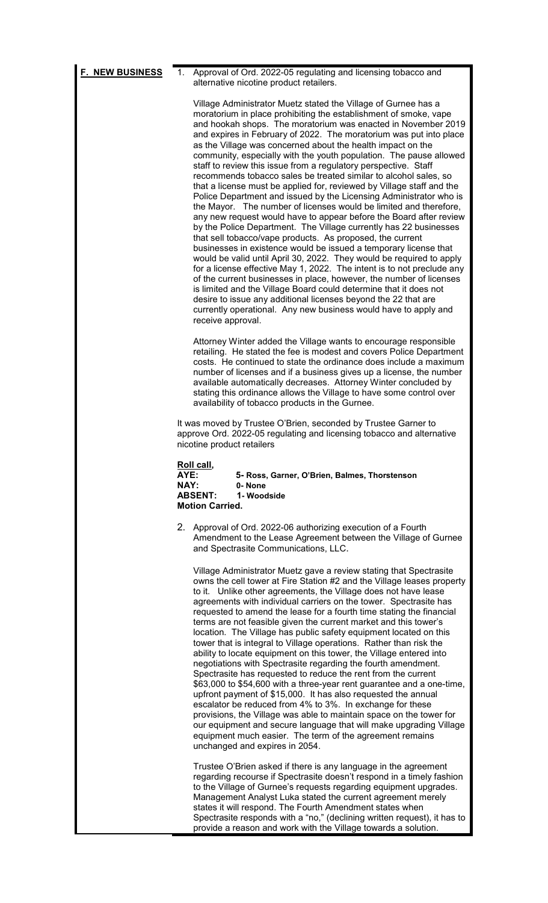| F. NEW BUSINESS | Approval of Ord. 2022-05 regulating and licensing tobacco and<br>1.<br>alternative nicotine product retailers.                                                                                                                                                                                                                                                                                                                                                                                                                                                                                                                                                                                                                                                                                                                                                                                                                                                                                                                                                                                                                                                                                                                                                                                                                                                                                                                                                                                                                                                                                                                                                                                                                                                                                                                                                                                                                                                                                                                                                                                                                                                             |  |  |  |
|-----------------|----------------------------------------------------------------------------------------------------------------------------------------------------------------------------------------------------------------------------------------------------------------------------------------------------------------------------------------------------------------------------------------------------------------------------------------------------------------------------------------------------------------------------------------------------------------------------------------------------------------------------------------------------------------------------------------------------------------------------------------------------------------------------------------------------------------------------------------------------------------------------------------------------------------------------------------------------------------------------------------------------------------------------------------------------------------------------------------------------------------------------------------------------------------------------------------------------------------------------------------------------------------------------------------------------------------------------------------------------------------------------------------------------------------------------------------------------------------------------------------------------------------------------------------------------------------------------------------------------------------------------------------------------------------------------------------------------------------------------------------------------------------------------------------------------------------------------------------------------------------------------------------------------------------------------------------------------------------------------------------------------------------------------------------------------------------------------------------------------------------------------------------------------------------------------|--|--|--|
|                 | Village Administrator Muetz stated the Village of Gurnee has a<br>moratorium in place prohibiting the establishment of smoke, vape<br>and hookah shops. The moratorium was enacted in November 2019<br>and expires in February of 2022. The moratorium was put into place<br>as the Village was concerned about the health impact on the<br>community, especially with the youth population. The pause allowed<br>staff to review this issue from a regulatory perspective. Staff<br>recommends tobacco sales be treated similar to alcohol sales, so<br>that a license must be applied for, reviewed by Village staff and the<br>Police Department and issued by the Licensing Administrator who is<br>the Mayor. The number of licenses would be limited and therefore,<br>any new request would have to appear before the Board after review<br>by the Police Department. The Village currently has 22 businesses<br>that sell tobacco/vape products. As proposed, the current<br>businesses in existence would be issued a temporary license that<br>would be valid until April 30, 2022. They would be required to apply<br>for a license effective May 1, 2022. The intent is to not preclude any<br>of the current businesses in place, however, the number of licenses<br>is limited and the Village Board could determine that it does not<br>desire to issue any additional licenses beyond the 22 that are<br>currently operational. Any new business would have to apply and<br>receive approval.<br>Attorney Winter added the Village wants to encourage responsible<br>retailing. He stated the fee is modest and covers Police Department<br>costs. He continued to state the ordinance does include a maximum<br>number of licenses and if a business gives up a license, the number<br>available automatically decreases. Attorney Winter concluded by<br>stating this ordinance allows the Village to have some control over<br>availability of tobacco products in the Gurnee.<br>It was moved by Trustee O'Brien, seconded by Trustee Garner to<br>approve Ord. 2022-05 regulating and licensing tobacco and alternative<br>nicotine product retailers |  |  |  |
|                 | Roll call,<br>AYE:<br>5- Ross, Garner, O'Brien, Balmes, Thorstenson                                                                                                                                                                                                                                                                                                                                                                                                                                                                                                                                                                                                                                                                                                                                                                                                                                                                                                                                                                                                                                                                                                                                                                                                                                                                                                                                                                                                                                                                                                                                                                                                                                                                                                                                                                                                                                                                                                                                                                                                                                                                                                        |  |  |  |
|                 | NAY:<br>0-None<br><b>ABSENT:</b><br>1-Woodside<br><b>Motion Carried.</b>                                                                                                                                                                                                                                                                                                                                                                                                                                                                                                                                                                                                                                                                                                                                                                                                                                                                                                                                                                                                                                                                                                                                                                                                                                                                                                                                                                                                                                                                                                                                                                                                                                                                                                                                                                                                                                                                                                                                                                                                                                                                                                   |  |  |  |
|                 | 2. Approval of Ord. 2022-06 authorizing execution of a Fourth<br>Amendment to the Lease Agreement between the Village of Gurnee<br>and Spectrasite Communications, LLC.                                                                                                                                                                                                                                                                                                                                                                                                                                                                                                                                                                                                                                                                                                                                                                                                                                                                                                                                                                                                                                                                                                                                                                                                                                                                                                                                                                                                                                                                                                                                                                                                                                                                                                                                                                                                                                                                                                                                                                                                    |  |  |  |
|                 | Village Administrator Muetz gave a review stating that Spectrasite<br>owns the cell tower at Fire Station #2 and the Village leases property<br>to it. Unlike other agreements, the Village does not have lease<br>agreements with individual carriers on the tower. Spectrasite has<br>requested to amend the lease for a fourth time stating the financial<br>terms are not feasible given the current market and this tower's<br>location. The Village has public safety equipment located on this<br>tower that is integral to Village operations. Rather than risk the<br>ability to locate equipment on this tower, the Village entered into<br>negotiations with Spectrasite regarding the fourth amendment.<br>Spectrasite has requested to reduce the rent from the current<br>\$63,000 to \$54,600 with a three-year rent guarantee and a one-time,<br>upfront payment of \$15,000. It has also requested the annual<br>escalator be reduced from 4% to 3%. In exchange for these<br>provisions, the Village was able to maintain space on the tower for<br>our equipment and secure language that will make upgrading Village<br>equipment much easier. The term of the agreement remains<br>unchanged and expires in 2054.                                                                                                                                                                                                                                                                                                                                                                                                                                                                                                                                                                                                                                                                                                                                                                                                                                                                                                                                     |  |  |  |
|                 | Trustee O'Brien asked if there is any language in the agreement<br>regarding recourse if Spectrasite doesn't respond in a timely fashion<br>to the Village of Gurnee's requests regarding equipment upgrades.<br>Management Analyst Luka stated the current agreement merely<br>states it will respond. The Fourth Amendment states when<br>Spectrasite responds with a "no," (declining written request), it has to<br>provide a reason and work with the Village towards a solution.                                                                                                                                                                                                                                                                                                                                                                                                                                                                                                                                                                                                                                                                                                                                                                                                                                                                                                                                                                                                                                                                                                                                                                                                                                                                                                                                                                                                                                                                                                                                                                                                                                                                                     |  |  |  |